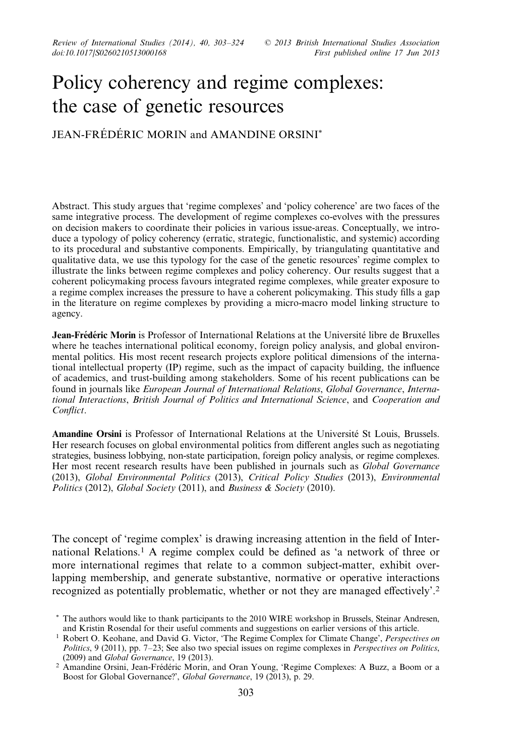Review of International Studies (2014), 40, 303-324 <br>
doi:10.1017/S0260210513000168 First published online 17 Jun 2013

# Policy coherency and regime complexes: the case of genetic resources

JEAN-FRÉDÉRIC MORIN and AMANDINE ORSINI\*

Abstract. This study argues that 'regime complexes' and 'policy coherence' are two faces of the same integrative process. The development of regime complexes co-evolves with the pressures on decision makers to coordinate their policies in various issue-areas. Conceptually, we introduce a typology of policy coherency (erratic, strategic, functionalistic, and systemic) according to its procedural and substantive components. Empirically, by triangulating quantitative and qualitative data, we use this typology for the case of the genetic resources' regime complex to illustrate the links between regime complexes and policy coherency. Our results suggest that a coherent policymaking process favours integrated regime complexes, while greater exposure to a regime complex increases the pressure to have a coherent policymaking. This study fills a gap in the literature on regime complexes by providing a micro-macro model linking structure to agency.

**Jean-Frédéric Morin** is Professor of International Relations at the Université libre de Bruxelles where he teaches international political economy, foreign policy analysis, and global environmental politics. His most recent research projects explore political dimensions of the international intellectual property (IP) regime, such as the impact of capacity building, the influence of academics, and trust-building among stakeholders. Some of his recent publications can be found in journals like European Journal of International Relations, Global Governance, International Interactions, British Journal of Politics and International Science, and Cooperation and Conflict.

Amandine Orsini is Professor of International Relations at the Université St Louis, Brussels. Her research focuses on global environmental politics from different angles such as negotiating strategies, business lobbying, non-state participation, foreign policy analysis, or regime complexes. Her most recent research results have been published in journals such as Global Governance (2013), Global Environmental Politics (2013), Critical Policy Studies (2013), Environmental Politics (2012), Global Society (2011), and Business & Society (2010).

The concept of 'regime complex' is drawing increasing attention in the field of International Relations.<sup>1</sup> A regime complex could be defined as 'a network of three or more international regimes that relate to a common subject-matter, exhibit overlapping membership, and generate substantive, normative or operative interactions recognized as potentially problematic, whether or not they are managed effectively'.2

<sup>\*</sup> The authors would like to thank participants to the 2010 WIRE workshop in Brussels, Steinar Andresen, and Kristin Rosendal for their useful comments and suggestions on earlier versions of this article.

<sup>&</sup>lt;sup>1</sup> Robert O. Keohane, and David G. Victor, 'The Regime Complex for Climate Change', Perspectives on Politics, 9 (2011), pp. 7–23; See also two special issues on regime complexes in Perspectives on Politics, (2009) and Global Governance, 19 (2013).

<sup>&</sup>lt;sup>2</sup> Amandine Orsini, Jean-Frédéric Morin, and Oran Young, 'Regime Complexes: A Buzz, a Boom or a Boost for Global Governance?', Global Governance, 19 (2013), p. 29.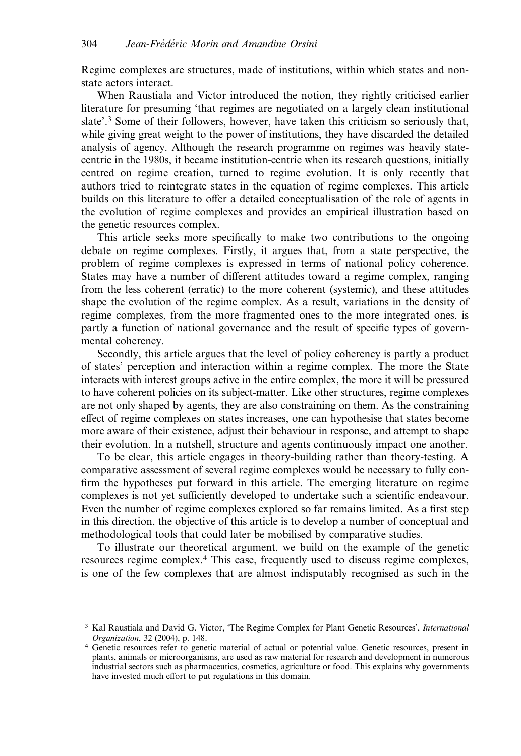Regime complexes are structures, made of institutions, within which states and nonstate actors interact.

When Raustiala and Victor introduced the notion, they rightly criticised earlier literature for presuming 'that regimes are negotiated on a largely clean institutional slate'.<sup>3</sup> Some of their followers, however, have taken this criticism so seriously that, while giving great weight to the power of institutions, they have discarded the detailed analysis of agency. Although the research programme on regimes was heavily statecentric in the 1980s, it became institution-centric when its research questions, initially centred on regime creation, turned to regime evolution. It is only recently that authors tried to reintegrate states in the equation of regime complexes. This article builds on this literature to offer a detailed conceptualisation of the role of agents in the evolution of regime complexes and provides an empirical illustration based on the genetic resources complex.

This article seeks more specifically to make two contributions to the ongoing debate on regime complexes. Firstly, it argues that, from a state perspective, the problem of regime complexes is expressed in terms of national policy coherence. States may have a number of different attitudes toward a regime complex, ranging from the less coherent (erratic) to the more coherent (systemic), and these attitudes shape the evolution of the regime complex. As a result, variations in the density of regime complexes, from the more fragmented ones to the more integrated ones, is partly a function of national governance and the result of specific types of governmental coherency.

Secondly, this article argues that the level of policy coherency is partly a product of states' perception and interaction within a regime complex. The more the State interacts with interest groups active in the entire complex, the more it will be pressured to have coherent policies on its subject-matter. Like other structures, regime complexes are not only shaped by agents, they are also constraining on them. As the constraining effect of regime complexes on states increases, one can hypothesise that states become more aware of their existence, adjust their behaviour in response, and attempt to shape their evolution. In a nutshell, structure and agents continuously impact one another.

To be clear, this article engages in theory-building rather than theory-testing. A comparative assessment of several regime complexes would be necessary to fully confirm the hypotheses put forward in this article. The emerging literature on regime complexes is not yet sufficiently developed to undertake such a scientific endeavour. Even the number of regime complexes explored so far remains limited. As a first step in this direction, the objective of this article is to develop a number of conceptual and methodological tools that could later be mobilised by comparative studies.

To illustrate our theoretical argument, we build on the example of the genetic resources regime complex.<sup>4</sup> This case, frequently used to discuss regime complexes, is one of the few complexes that are almost indisputably recognised as such in the

<sup>&</sup>lt;sup>3</sup> Kal Raustiala and David G. Victor, 'The Regime Complex for Plant Genetic Resources', *International* Organization, 32 (2004), p. 148.

<sup>4</sup> Genetic resources refer to genetic material of actual or potential value. Genetic resources, present in plants, animals or microorganisms, are used as raw material for research and development in numerous industrial sectors such as pharmaceutics, cosmetics, agriculture or food. This explains why governments have invested much effort to put regulations in this domain.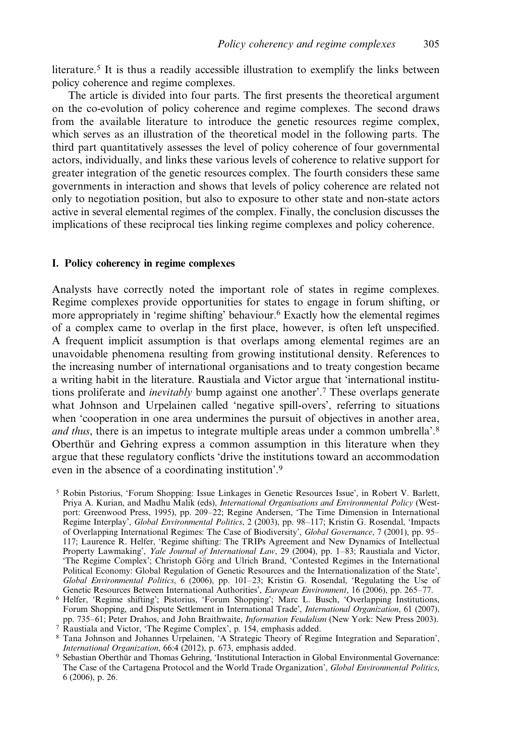literature.<sup>5</sup> It is thus a readily accessible illustration to exemplify the links between policy coherence and regime complexes.

The article is divided into four parts. The first presents the theoretical argument on the co-evolution of policy coherence and regime complexes. The second draws from the available literature to introduce the genetic resources regime complex, which serves as an illustration of the theoretical model in the following parts. The third part quantitatively assesses the level of policy coherence of four governmental actors, individually, and links these various levels of coherence to relative support for greater integration of the genetic resources complex. The fourth considers these same governments in interaction and shows that levels of policy coherence are related not only to negotiation position, but also to exposure to other state and non-state actors active in several elemental regimes of the complex. Finally, the conclusion discusses the implications of these reciprocal ties linking regime complexes and policy coherence.

# I. Policy coherency in regime complexes

Analysts have correctly noted the important role of states in regime complexes. Regime complexes provide opportunities for states to engage in forum shifting, or more appropriately in 'regime shifting' behaviour.<sup>6</sup> Exactly how the elemental regimes of a complex came to overlap in the first place, however, is often left unspecified. A frequent implicit assumption is that overlaps among elemental regimes are an unavoidable phenomena resulting from growing institutional density. References to the increasing number of international organisations and to treaty congestion became a writing habit in the literature. Raustiala and Victor argue that 'international institutions proliferate and inevitably bump against one another'.<sup>7</sup> These overlaps generate what Johnson and Urpelainen called 'negative spill-overs', referring to situations when 'cooperation in one area undermines the pursuit of objectives in another area, and thus, there is an impetus to integrate multiple areas under a common umbrella'.<sup>8</sup> Oberthur and Gehring express a common assumption in this literature when they argue that these regulatory conflicts 'drive the institutions toward an accommodation even in the absence of a coordinating institution'.<sup>9</sup>

<sup>5</sup> Robin Pistorius, 'Forum Shopping: Issue Linkages in Genetic Resources Issue', in Robert V. Barlett, Priya A. Kurian, and Madhu Malik (eds), International Organisations and Environmental Policy (Westport: Greenwood Press, 1995), pp. 209–22; Regine Andersen, 'The Time Dimension in International Regime Interplay', Global Environmental Politics, 2 (2003), pp. 98–117; Kristin G. Rosendal, 'Impacts of Overlapping International Regimes: The Case of Biodiversity', Global Governance, 7 (2001), pp. 95– 117; Laurence R. Helfer, 'Regime shifting: The TRIPs Agreement and New Dynamics of Intellectual Property Lawmaking', Yale Journal of International Law, 29 (2004), pp. 1-83; Raustiala and Victor, 'The Regime Complex'; Christoph Görg and Ulrich Brand, 'Contested Regimes in the International Political Economy: Global Regulation of Genetic Resources and the Internationalization of the State', Global Environmental Politics, 6 (2006), pp. 101–23; Kristin G. Rosendal, 'Regulating the Use of Genetic Resources Between International Authorities', European Environment, 16 (2006), pp. 265–77.

<sup>6</sup> Helfer, 'Regime shifting'; Pistorius, 'Forum Shopping'; Marc L. Busch, 'Overlapping Institutions, Forum Shopping, and Dispute Settlement in International Trade', *International Organization*, 61 (2007), pp. 735–61; Peter Drahos, and John Braithwaite, Information Feudalism (New York: New Press 2003). <sup>7</sup> Raustiala and Victor, 'The Regime Complex', p. 154, emphasis added.

<sup>8</sup> Tana Johnson and Johannes Urpelainen, 'A Strategic Theory of Regime Integration and Separation', International Organization, 66:4 (2012), p. 673, emphasis added.

<sup>&</sup>lt;sup>9</sup> Sebastian Oberthür and Thomas Gehring, 'Institutional Interaction in Global Environmental Governance: The Case of the Cartagena Protocol and the World Trade Organization', Global Environmental Politics, 6 (2006), p. 26.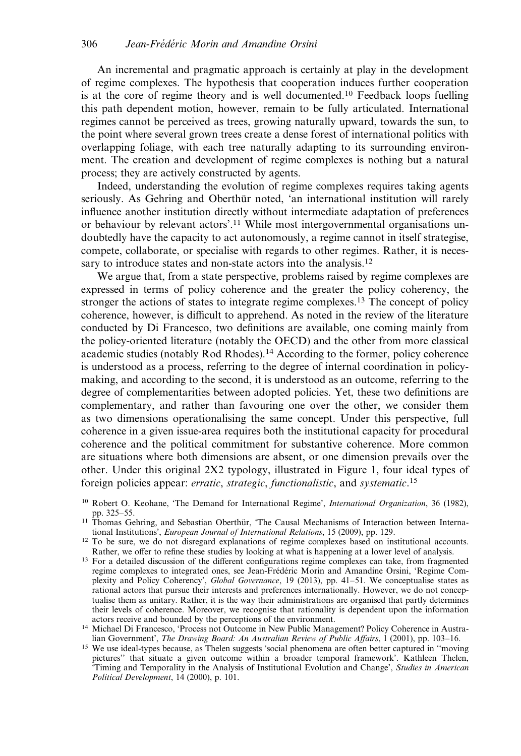An incremental and pragmatic approach is certainly at play in the development of regime complexes. The hypothesis that cooperation induces further cooperation is at the core of regime theory and is well documented.<sup>10</sup> Feedback loops fuelling this path dependent motion, however, remain to be fully articulated. International regimes cannot be perceived as trees, growing naturally upward, towards the sun, to the point where several grown trees create a dense forest of international politics with overlapping foliage, with each tree naturally adapting to its surrounding environment. The creation and development of regime complexes is nothing but a natural process; they are actively constructed by agents.

Indeed, understanding the evolution of regime complexes requires taking agents seriously. As Gehring and Oberthür noted, 'an international institution will rarely influence another institution directly without intermediate adaptation of preferences or behaviour by relevant actors'.<sup>11</sup> While most intergovernmental organisations undoubtedly have the capacity to act autonomously, a regime cannot in itself strategise, compete, collaborate, or specialise with regards to other regimes. Rather, it is necessary to introduce states and non-state actors into the analysis.<sup>12</sup>

We argue that, from a state perspective, problems raised by regime complexes are expressed in terms of policy coherence and the greater the policy coherency, the stronger the actions of states to integrate regime complexes.<sup>13</sup> The concept of policy coherence, however, is difficult to apprehend. As noted in the review of the literature conducted by Di Francesco, two definitions are available, one coming mainly from the policy-oriented literature (notably the OECD) and the other from more classical academic studies (notably Rod Rhodes).<sup>14</sup> According to the former, policy coherence is understood as a process, referring to the degree of internal coordination in policymaking, and according to the second, it is understood as an outcome, referring to the degree of complementarities between adopted policies. Yet, these two definitions are complementary, and rather than favouring one over the other, we consider them as two dimensions operationalising the same concept. Under this perspective, full coherence in a given issue-area requires both the institutional capacity for procedural coherence and the political commitment for substantive coherence. More common are situations where both dimensions are absent, or one dimension prevails over the other. Under this original 2X2 typology, illustrated in Figure 1, four ideal types of foreign policies appear: erratic, strategic, functionalistic, and systematic.<sup>15</sup>

- <sup>11</sup> Thomas Gehring, and Sebastian Oberthür, 'The Causal Mechanisms of Interaction between International Institutions', European Journal of International Relations, 15 (2009), pp. 129.
- <sup>12</sup> To be sure, we do not disregard explanations of regime complexes based on institutional accounts. Rather, we offer to refine these studies by looking at what is happening at a lower level of analysis.
- <sup>13</sup> For a detailed discussion of the different configurations regime complexes can take, from fragmented regime complexes to integrated ones, see Jean-Frédéric Morin and Amandine Orsini, 'Regime Complexity and Policy Coherency', Global Governance, 19 (2013), pp. 41–51. We conceptualise states as rational actors that pursue their interests and preferences internationally. However, we do not conceptualise them as unitary. Rather, it is the way their administrations are organised that partly determines their levels of coherence. Moreover, we recognise that rationality is dependent upon the information actors receive and bounded by the perceptions of the environment.
- <sup>14</sup> Michael Di Francesco, 'Process not Outcome in New Public Management? Policy Coherence in Australian Government', The Drawing Board: An Australian Review of Public Affairs, 1 (2001), pp. 103–16.
- <sup>15</sup> We use ideal-types because, as Thelen suggests 'social phenomena are often better captured in "moving pictures'' that situate a given outcome within a broader temporal framework'. Kathleen Thelen, 'Timing and Temporality in the Analysis of Institutional Evolution and Change', Studies in American Political Development, 14 (2000), p. 101.

<sup>10</sup> Robert O. Keohane, 'The Demand for International Regime', International Organization, 36 (1982), pp. 325–55.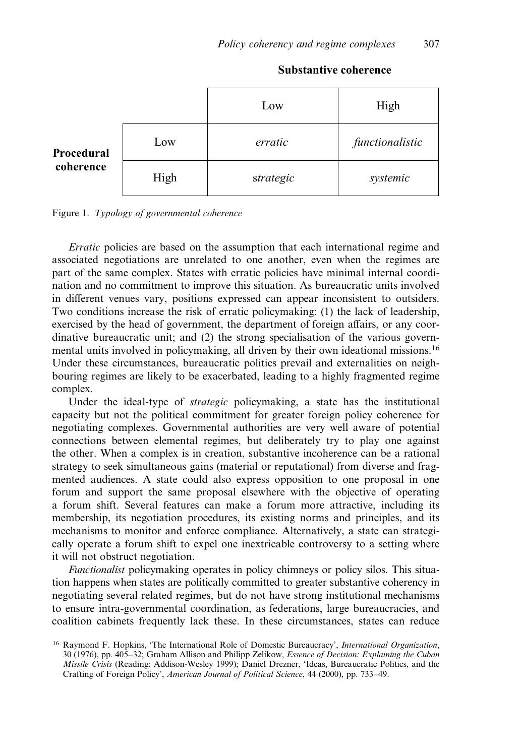# Low High **Procedural Coherence** Low *erratic functionalistic* High  $\vert$  *strategic systemic*

# **Substantive coherence**



Erratic policies are based on the assumption that each international regime and associated negotiations are unrelated to one another, even when the regimes are part of the same complex. States with erratic policies have minimal internal coordination and no commitment to improve this situation. As bureaucratic units involved in different venues vary, positions expressed can appear inconsistent to outsiders. Two conditions increase the risk of erratic policymaking: (1) the lack of leadership, exercised by the head of government, the department of foreign affairs, or any coordinative bureaucratic unit; and (2) the strong specialisation of the various governmental units involved in policymaking, all driven by their own ideational missions.16 Under these circumstances, bureaucratic politics prevail and externalities on neighbouring regimes are likely to be exacerbated, leading to a highly fragmented regime complex.

Under the ideal-type of strategic policymaking, a state has the institutional capacity but not the political commitment for greater foreign policy coherence for negotiating complexes. Governmental authorities are very well aware of potential connections between elemental regimes, but deliberately try to play one against the other. When a complex is in creation, substantive incoherence can be a rational strategy to seek simultaneous gains (material or reputational) from diverse and fragmented audiences. A state could also express opposition to one proposal in one forum and support the same proposal elsewhere with the objective of operating a forum shift. Several features can make a forum more attractive, including its membership, its negotiation procedures, its existing norms and principles, and its mechanisms to monitor and enforce compliance. Alternatively, a state can strategically operate a forum shift to expel one inextricable controversy to a setting where it will not obstruct negotiation.

Functionalist policymaking operates in policy chimneys or policy silos. This situation happens when states are politically committed to greater substantive coherency in negotiating several related regimes, but do not have strong institutional mechanisms to ensure intra-governmental coordination, as federations, large bureaucracies, and coalition cabinets frequently lack these. In these circumstances, states can reduce

<sup>&</sup>lt;sup>16</sup> Raymond F. Hopkins, 'The International Role of Domestic Bureaucracy', *International Organization*, 30 (1976), pp. 405–32; Graham Allison and Philipp Zelikow, Essence of Decision: Explaining the Cuban Missile Crisis (Reading: Addison-Wesley 1999); Daniel Drezner, 'Ideas, Bureaucratic Politics, and the Crafting of Foreign Policy', American Journal of Political Science, 44 (2000), pp. 733–49.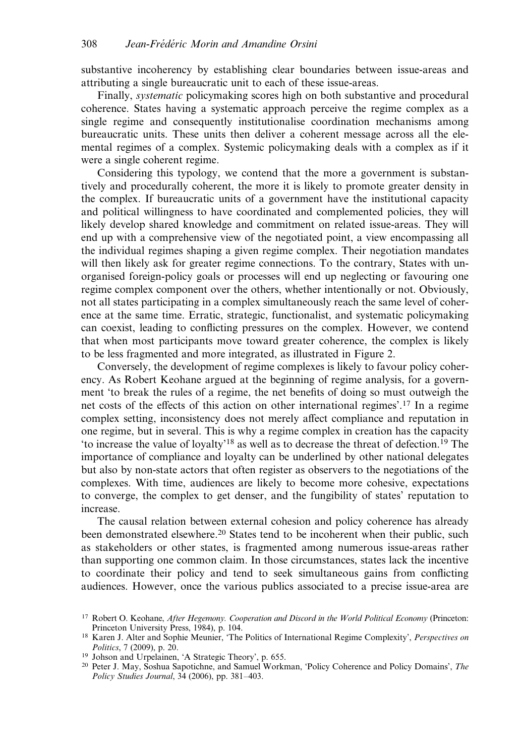substantive incoherency by establishing clear boundaries between issue-areas and attributing a single bureaucratic unit to each of these issue-areas.

Finally, systematic policymaking scores high on both substantive and procedural coherence. States having a systematic approach perceive the regime complex as a single regime and consequently institutionalise coordination mechanisms among bureaucratic units. These units then deliver a coherent message across all the elemental regimes of a complex. Systemic policymaking deals with a complex as if it were a single coherent regime.

Considering this typology, we contend that the more a government is substantively and procedurally coherent, the more it is likely to promote greater density in the complex. If bureaucratic units of a government have the institutional capacity and political willingness to have coordinated and complemented policies, they will likely develop shared knowledge and commitment on related issue-areas. They will end up with a comprehensive view of the negotiated point, a view encompassing all the individual regimes shaping a given regime complex. Their negotiation mandates will then likely ask for greater regime connections. To the contrary, States with unorganised foreign-policy goals or processes will end up neglecting or favouring one regime complex component over the others, whether intentionally or not. Obviously, not all states participating in a complex simultaneously reach the same level of coherence at the same time. Erratic, strategic, functionalist, and systematic policymaking can coexist, leading to conflicting pressures on the complex. However, we contend that when most participants move toward greater coherence, the complex is likely to be less fragmented and more integrated, as illustrated in Figure 2.

Conversely, the development of regime complexes is likely to favour policy coherency. As Robert Keohane argued at the beginning of regime analysis, for a government 'to break the rules of a regime, the net benefits of doing so must outweigh the net costs of the effects of this action on other international regimes'.<sup>17</sup> In a regime complex setting, inconsistency does not merely affect compliance and reputation in one regime, but in several. This is why a regime complex in creation has the capacity 'to increase the value of loyalty'<sup>18</sup> as well as to decrease the threat of defection.<sup>19</sup> The importance of compliance and loyalty can be underlined by other national delegates but also by non-state actors that often register as observers to the negotiations of the complexes. With time, audiences are likely to become more cohesive, expectations to converge, the complex to get denser, and the fungibility of states' reputation to increase.

The causal relation between external cohesion and policy coherence has already been demonstrated elsewhere.<sup>20</sup> States tend to be incoherent when their public, such as stakeholders or other states, is fragmented among numerous issue-areas rather than supporting one common claim. In those circumstances, states lack the incentive to coordinate their policy and tend to seek simultaneous gains from conflicting audiences. However, once the various publics associated to a precise issue-area are

<sup>&</sup>lt;sup>17</sup> Robert O. Keohane. After Hegemony. Cooperation and Discord in the World Political Economy (Princeton: Princeton University Press, 1984), p. 104.

<sup>&</sup>lt;sup>18</sup> Karen J. Alter and Sophie Meunier, 'The Politics of International Regime Complexity', Perspectives on Politics, 7 (2009), p. 20.

<sup>19</sup> Johson and Urpelainen, 'A Strategic Theory', p. 655.

<sup>&</sup>lt;sup>20</sup> Peter J. May, Soshua Sapotichne, and Samuel Workman, 'Policy Coherence and Policy Domains', The Policy Studies Journal, 34 (2006), pp. 381–403.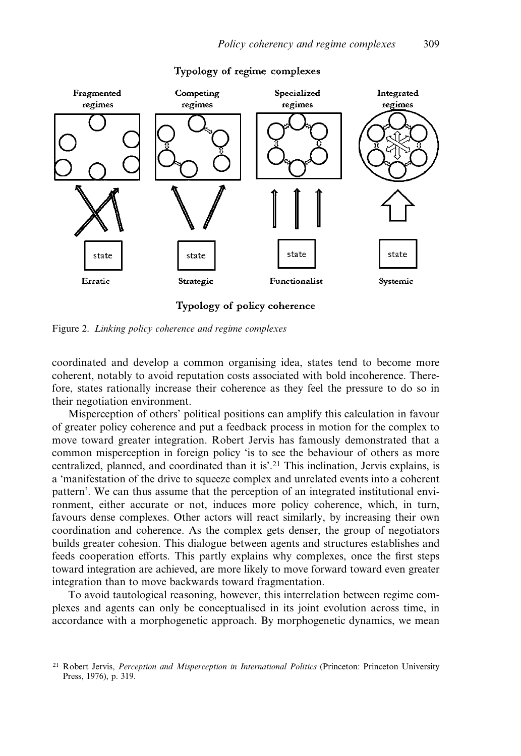

#### Typology of regime complexes

Figure 2. Linking policy coherence and regime complexes

coordinated and develop a common organising idea, states tend to become more coherent, notably to avoid reputation costs associated with bold incoherence. Therefore, states rationally increase their coherence as they feel the pressure to do so in their negotiation environment.

Misperception of others' political positions can amplify this calculation in favour of greater policy coherence and put a feedback process in motion for the complex to move toward greater integration. Robert Jervis has famously demonstrated that a common misperception in foreign policy 'is to see the behaviour of others as more centralized, planned, and coordinated than it is'.21 This inclination, Jervis explains, is a 'manifestation of the drive to squeeze complex and unrelated events into a coherent pattern'. We can thus assume that the perception of an integrated institutional environment, either accurate or not, induces more policy coherence, which, in turn, favours dense complexes. Other actors will react similarly, by increasing their own coordination and coherence. As the complex gets denser, the group of negotiators builds greater cohesion. This dialogue between agents and structures establishes and feeds cooperation efforts. This partly explains why complexes, once the first steps toward integration are achieved, are more likely to move forward toward even greater integration than to move backwards toward fragmentation.

To avoid tautological reasoning, however, this interrelation between regime complexes and agents can only be conceptualised in its joint evolution across time, in accordance with a morphogenetic approach. By morphogenetic dynamics, we mean

<sup>&</sup>lt;sup>21</sup> Robert Jervis, *Perception and Misperception in International Politics* (Princeton: Princeton University Press, 1976), p. 319.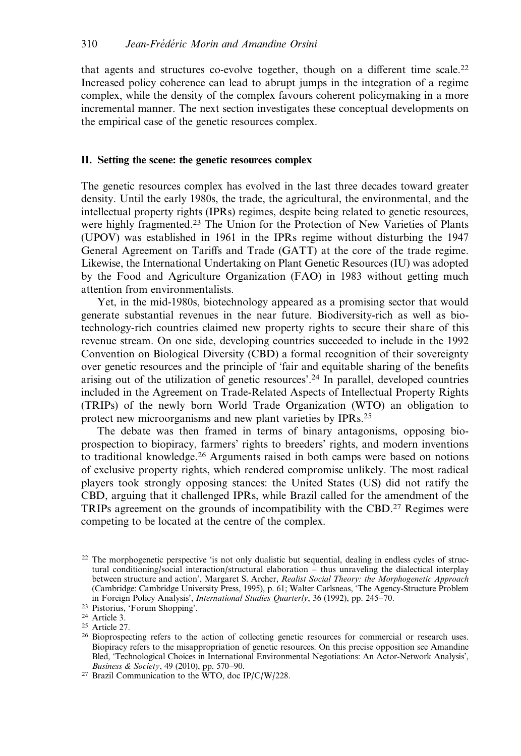that agents and structures co-evolve together, though on a different time scale.<sup>22</sup> Increased policy coherence can lead to abrupt jumps in the integration of a regime complex, while the density of the complex favours coherent policymaking in a more incremental manner. The next section investigates these conceptual developments on the empirical case of the genetic resources complex.

#### II. Setting the scene: the genetic resources complex

The genetic resources complex has evolved in the last three decades toward greater density. Until the early 1980s, the trade, the agricultural, the environmental, and the intellectual property rights (IPRs) regimes, despite being related to genetic resources, were highly fragmented.<sup>23</sup> The Union for the Protection of New Varieties of Plants (UPOV) was established in 1961 in the IPRs regime without disturbing the 1947 General Agreement on Tariffs and Trade (GATT) at the core of the trade regime. Likewise, the International Undertaking on Plant Genetic Resources (IU) was adopted by the Food and Agriculture Organization (FAO) in 1983 without getting much attention from environmentalists.

Yet, in the mid-1980s, biotechnology appeared as a promising sector that would generate substantial revenues in the near future. Biodiversity-rich as well as biotechnology-rich countries claimed new property rights to secure their share of this revenue stream. On one side, developing countries succeeded to include in the 1992 Convention on Biological Diversity (CBD) a formal recognition of their sovereignty over genetic resources and the principle of 'fair and equitable sharing of the benefits arising out of the utilization of genetic resources'.<sup>24</sup> In parallel, developed countries included in the Agreement on Trade-Related Aspects of Intellectual Property Rights (TRIPs) of the newly born World Trade Organization (WTO) an obligation to protect new microorganisms and new plant varieties by IPRs.<sup>25</sup>

The debate was then framed in terms of binary antagonisms, opposing bioprospection to biopiracy, farmers' rights to breeders' rights, and modern inventions to traditional knowledge.<sup>26</sup> Arguments raised in both camps were based on notions of exclusive property rights, which rendered compromise unlikely. The most radical players took strongly opposing stances: the United States (US) did not ratify the CBD, arguing that it challenged IPRs, while Brazil called for the amendment of the TRIPs agreement on the grounds of incompatibility with the CBD.<sup>27</sup> Regimes were competing to be located at the centre of the complex.

<sup>&</sup>lt;sup>22</sup> The morphogenetic perspective 'is not only dualistic but sequential, dealing in endless cycles of structural conditioning/social interaction/structural elaboration – thus unraveling the dialectical interplay between structure and action', Margaret S. Archer, Realist Social Theory: the Morphogenetic Approach (Cambridge: Cambridge University Press, 1995), p. 61; Walter Carlsneas, 'The Agency-Structure Problem in Foreign Policy Analysis', International Studies Quarterly, 36 (1992), pp. 245–70.

<sup>23</sup> Pistorius, 'Forum Shopping'.

<sup>24</sup> Article 3.

<sup>25</sup> Article 27.

<sup>&</sup>lt;sup>26</sup> Bioprospecting refers to the action of collecting genetic resources for commercial or research uses. Biopiracy refers to the misappropriation of genetic resources. On this precise opposition see Amandine Bled, 'Technological Choices in International Environmental Negotiations: An Actor-Network Analysis', Business & Society, 49 (2010), pp. 570–90.

<sup>27</sup> Brazil Communication to the WTO, doc IP/C/W/228.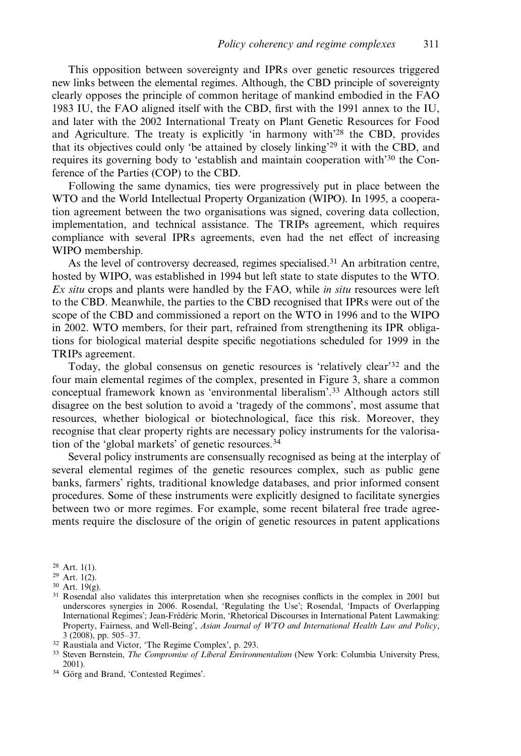This opposition between sovereignty and IPRs over genetic resources triggered new links between the elemental regimes. Although, the CBD principle of sovereignty clearly opposes the principle of common heritage of mankind embodied in the FAO 1983 IU, the FAO aligned itself with the CBD, first with the 1991 annex to the IU, and later with the 2002 International Treaty on Plant Genetic Resources for Food and Agriculture. The treaty is explicitly 'in harmony with'<sup>28</sup> the CBD, provides that its objectives could only 'be attained by closely linking'<sup>29</sup> it with the CBD, and requires its governing body to 'establish and maintain cooperation with'30 the Conference of the Parties (COP) to the CBD.

Following the same dynamics, ties were progressively put in place between the WTO and the World Intellectual Property Organization (WIPO). In 1995, a cooperation agreement between the two organisations was signed, covering data collection, implementation, and technical assistance. The TRIPs agreement, which requires compliance with several IPRs agreements, even had the net effect of increasing WIPO membership.

As the level of controversy decreased, regimes specialised.31 An arbitration centre, hosted by WIPO, was established in 1994 but left state to state disputes to the WTO. Ex situ crops and plants were handled by the FAO, while in situ resources were left to the CBD. Meanwhile, the parties to the CBD recognised that IPRs were out of the scope of the CBD and commissioned a report on the WTO in 1996 and to the WIPO in 2002. WTO members, for their part, refrained from strengthening its IPR obligations for biological material despite specific negotiations scheduled for 1999 in the TRIPs agreement.

Today, the global consensus on genetic resources is 'relatively clear'<sup>32</sup> and the four main elemental regimes of the complex, presented in Figure 3, share a common conceptual framework known as 'environmental liberalism'.<sup>33</sup> Although actors still disagree on the best solution to avoid a 'tragedy of the commons', most assume that resources, whether biological or biotechnological, face this risk. Moreover, they recognise that clear property rights are necessary policy instruments for the valorisation of the 'global markets' of genetic resources.<sup>34</sup>

Several policy instruments are consensually recognised as being at the interplay of several elemental regimes of the genetic resources complex, such as public gene banks, farmers' rights, traditional knowledge databases, and prior informed consent procedures. Some of these instruments were explicitly designed to facilitate synergies between two or more regimes. For example, some recent bilateral free trade agreements require the disclosure of the origin of genetic resources in patent applications

 $28$  Art. 1(1).

 $29$  Art. 1(2). <sup>30</sup> Art. 19(g).

<sup>&</sup>lt;sup>31</sup> Rosendal also validates this interpretation when she recognises conflicts in the complex in 2001 but underscores synergies in 2006. Rosendal, 'Regulating the Use'; Rosendal, 'Impacts of Overlapping International Regimes'; Jean-Frédéric Morin, 'Rhetorical Discourses in International Patent Lawmaking: Property, Fairness, and Well-Being', Asian Journal of WTO and International Health Law and Policy, 3 (2008), pp. 505–37.

<sup>&</sup>lt;sup>32</sup> Raustiala and Victor, 'The Regime Complex', p. 293.

<sup>&</sup>lt;sup>33</sup> Steven Bernstein, The Compromise of Liberal Environmentalism (New York: Columbia University Press, 2001).

<sup>&</sup>lt;sup>34</sup> Görg and Brand, 'Contested Regimes'.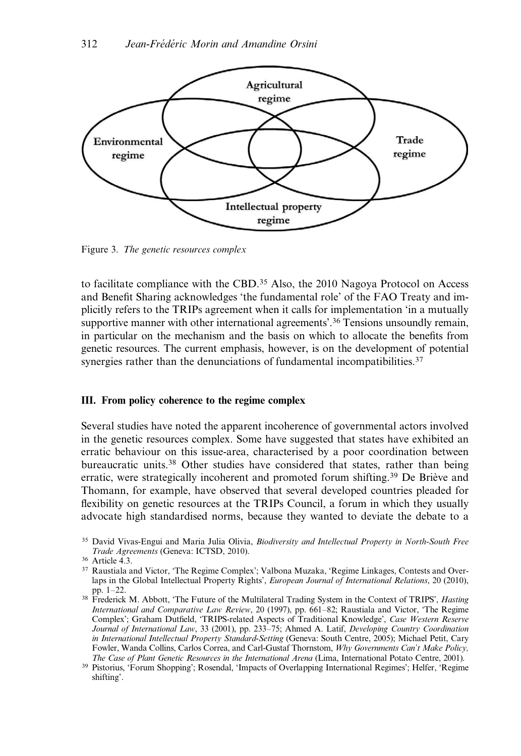

Figure 3. The genetic resources complex

to facilitate compliance with the CBD.<sup>35</sup> Also, the 2010 Nagoya Protocol on Access and Benefit Sharing acknowledges 'the fundamental role' of the FAO Treaty and implicitly refers to the TRIPs agreement when it calls for implementation 'in a mutually supportive manner with other international agreements'.<sup>36</sup> Tensions unsoundly remain, in particular on the mechanism and the basis on which to allocate the benefits from genetic resources. The current emphasis, however, is on the development of potential synergies rather than the denunciations of fundamental incompatibilities.<sup>37</sup>

### III. From policy coherence to the regime complex

Several studies have noted the apparent incoherence of governmental actors involved in the genetic resources complex. Some have suggested that states have exhibited an erratic behaviour on this issue-area, characterised by a poor coordination between bureaucratic units.<sup>38</sup> Other studies have considered that states, rather than being erratic, were strategically incoherent and promoted forum shifting.<sup>39</sup> De Briève and Thomann, for example, have observed that several developed countries pleaded for flexibility on genetic resources at the TRIPs Council, a forum in which they usually advocate high standardised norms, because they wanted to deviate the debate to a

<sup>&</sup>lt;sup>35</sup> David Vivas-Engui and Maria Julia Olivia, *Biodiversity and Intellectual Property in North-South Free* Trade Agreements (Geneva: ICTSD, 2010).

<sup>36</sup> Article 4.3.

<sup>37</sup> Raustiala and Victor, 'The Regime Complex'; Valbona Muzaka, 'Regime Linkages, Contests and Overlaps in the Global Intellectual Property Rights', European Journal of International Relations, 20 (2010), pp. 1–22.

<sup>&</sup>lt;sup>38</sup> Frederick M. Abbott, 'The Future of the Multilateral Trading System in the Context of TRIPS', Hasting International and Comparative Law Review, 20 (1997), pp. 661–82; Raustiala and Victor, 'The Regime Complex'; Graham Dutfield, 'TRIPS-related Aspects of Traditional Knowledge', Case Western Reserve Journal of International Law, 33 (2001), pp. 233–75; Ahmed A. Latif, Developing Country Coordination in International Intellectual Property Standard-Setting (Geneva: South Centre, 2005); Michael Petit, Cary Fowler, Wanda Collins, Carlos Correa, and Carl-Gustaf Thornstom, Why Governments Can't Make Policy, The Case of Plant Genetic Resources in the International Arena (Lima, International Potato Centre, 2001).

<sup>&</sup>lt;sup>39</sup> Pistorius, 'Forum Shopping'; Rosendal, 'Impacts of Overlapping International Regimes'; Helfer, 'Regime shifting'.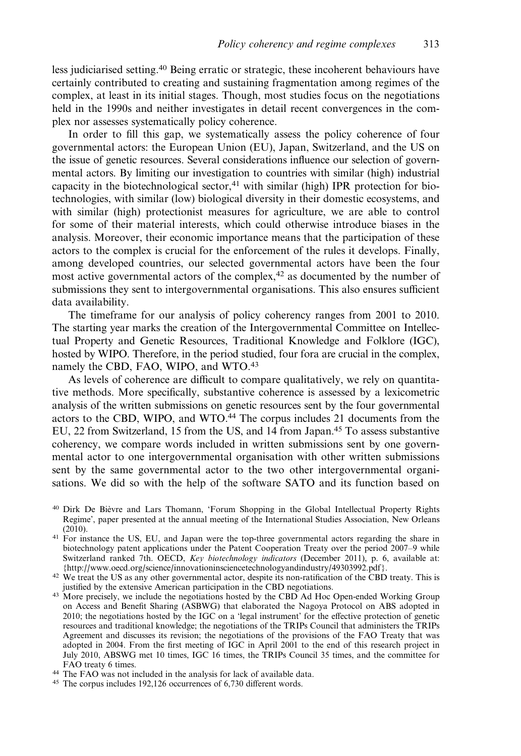less judiciarised setting.<sup>40</sup> Being erratic or strategic, these incoherent behaviours have certainly contributed to creating and sustaining fragmentation among regimes of the complex, at least in its initial stages. Though, most studies focus on the negotiations held in the 1990s and neither investigates in detail recent convergences in the complex nor assesses systematically policy coherence.

In order to fill this gap, we systematically assess the policy coherence of four governmental actors: the European Union (EU), Japan, Switzerland, and the US on the issue of genetic resources. Several considerations influence our selection of governmental actors. By limiting our investigation to countries with similar (high) industrial capacity in the biotechnological sector, $41$  with similar (high) IPR protection for biotechnologies, with similar (low) biological diversity in their domestic ecosystems, and with similar (high) protectionist measures for agriculture, we are able to control for some of their material interests, which could otherwise introduce biases in the analysis. Moreover, their economic importance means that the participation of these actors to the complex is crucial for the enforcement of the rules it develops. Finally, among developed countries, our selected governmental actors have been the four most active governmental actors of the complex, $42$  as documented by the number of submissions they sent to intergovernmental organisations. This also ensures sufficient data availability.

The timeframe for our analysis of policy coherency ranges from 2001 to 2010. The starting year marks the creation of the Intergovernmental Committee on Intellectual Property and Genetic Resources, Traditional Knowledge and Folklore (IGC), hosted by WIPO. Therefore, in the period studied, four fora are crucial in the complex, namely the CBD, FAO, WIPO, and WTO.<sup>43</sup>

As levels of coherence are difficult to compare qualitatively, we rely on quantitative methods. More specifically, substantive coherence is assessed by a lexicometric analysis of the written submissions on genetic resources sent by the four governmental actors to the CBD, WIPO, and WTO.44 The corpus includes 21 documents from the EU, 22 from Switzerland, 15 from the US, and 14 from Japan.45 To assess substantive coherency, we compare words included in written submissions sent by one governmental actor to one intergovernmental organisation with other written submissions sent by the same governmental actor to the two other intergovernmental organisations. We did so with the help of the software SATO and its function based on

<sup>40</sup> Dirk De Bièvre and Lars Thomann, 'Forum Shopping in the Global Intellectual Property Rights Regime', paper presented at the annual meeting of the International Studies Association, New Orleans (2010).

<sup>&</sup>lt;sup>41</sup> For instance the US, EU, and Japan were the top-three governmental actors regarding the share in biotechnology patent applications under the Patent Cooperation Treaty over the period 2007–9 while Switzerland ranked 7th. OECD, Key biotechnology indicators (December 2011), p. 6, available at: {http://www.oecd.org/science/innovationinsciencetechnologyandindustry/49303992.pdf}.

<sup>&</sup>lt;sup>42</sup> We treat the US as any other governmental actor, despite its non-ratification of the CBD treaty. This is justified by the extensive American participation in the CBD negotiations.

<sup>&</sup>lt;sup>43</sup> More precisely, we include the negotiations hosted by the CBD Ad Hoc Open-ended Working Group on Access and Benefit Sharing (ASBWG) that elaborated the Nagoya Protocol on ABS adopted in 2010; the negotiations hosted by the IGC on a 'legal instrument' for the effective protection of genetic resources and traditional knowledge; the negotiations of the TRIPs Council that administers the TRIPs Agreement and discusses its revision; the negotiations of the provisions of the FAO Treaty that was adopted in 2004. From the first meeting of IGC in April 2001 to the end of this research project in July 2010, ABSWG met 10 times, IGC 16 times, the TRIPs Council 35 times, and the committee for FAO treaty 6 times.

<sup>44</sup> The FAO was not included in the analysis for lack of available data.

<sup>45</sup> The corpus includes 192,126 occurrences of 6,730 different words.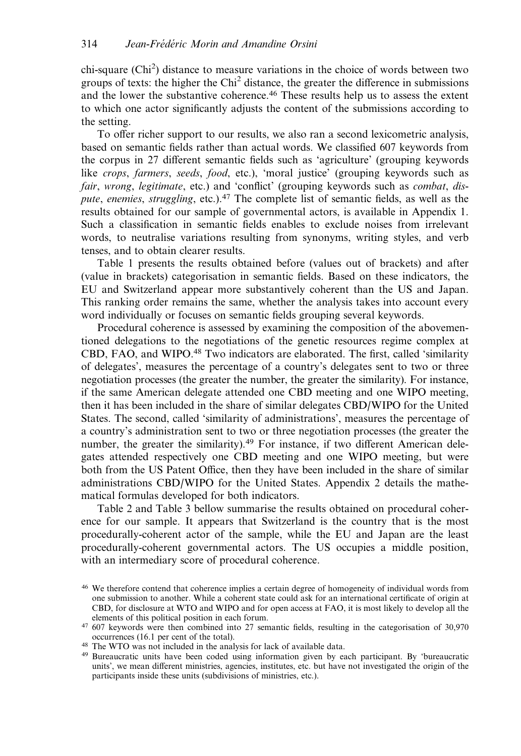chi-square (Chi<sup>2</sup> ) distance to measure variations in the choice of words between two groups of texts: the higher the Chi<sup>2</sup> distance, the greater the difference in submissions and the lower the substantive coherence.<sup>46</sup> These results help us to assess the extent to which one actor significantly adjusts the content of the submissions according to the setting.

To offer richer support to our results, we also ran a second lexicometric analysis, based on semantic fields rather than actual words. We classified 607 keywords from the corpus in 27 different semantic fields such as 'agriculture' (grouping keywords like crops, farmers, seeds, food, etc.), 'moral justice' (grouping keywords such as fair, wrong, legitimate, etc.) and 'conflict' (grouping keywords such as *combat, dis*pute, enemies, struggling, etc.). $47$  The complete list of semantic fields, as well as the results obtained for our sample of governmental actors, is available in Appendix 1. Such a classification in semantic fields enables to exclude noises from irrelevant words, to neutralise variations resulting from synonyms, writing styles, and verb tenses, and to obtain clearer results.

Table 1 presents the results obtained before (values out of brackets) and after (value in brackets) categorisation in semantic fields. Based on these indicators, the EU and Switzerland appear more substantively coherent than the US and Japan. This ranking order remains the same, whether the analysis takes into account every word individually or focuses on semantic fields grouping several keywords.

Procedural coherence is assessed by examining the composition of the abovementioned delegations to the negotiations of the genetic resources regime complex at CBD, FAO, and WIPO.<sup>48</sup> Two indicators are elaborated. The first, called 'similarity of delegates', measures the percentage of a country's delegates sent to two or three negotiation processes (the greater the number, the greater the similarity). For instance, if the same American delegate attended one CBD meeting and one WIPO meeting, then it has been included in the share of similar delegates CBD/WIPO for the United States. The second, called 'similarity of administrations', measures the percentage of a country's administration sent to two or three negotiation processes (the greater the number, the greater the similarity).<sup>49</sup> For instance, if two different American delegates attended respectively one CBD meeting and one WIPO meeting, but were both from the US Patent Office, then they have been included in the share of similar administrations CBD/WIPO for the United States. Appendix 2 details the mathematical formulas developed for both indicators.

Table 2 and Table 3 bellow summarise the results obtained on procedural coherence for our sample. It appears that Switzerland is the country that is the most procedurally-coherent actor of the sample, while the EU and Japan are the least procedurally-coherent governmental actors. The US occupies a middle position, with an intermediary score of procedural coherence.

<sup>46</sup> We therefore contend that coherence implies a certain degree of homogeneity of individual words from one submission to another. While a coherent state could ask for an international certificate of origin at CBD, for disclosure at WTO and WIPO and for open access at FAO, it is most likely to develop all the elements of this political position in each forum.

<sup>&</sup>lt;sup>47</sup> 607 keywords were then combined into 27 semantic fields, resulting in the categorisation of 30,970 occurrences (16.1 per cent of the total).

<sup>48</sup> The WTO was not included in the analysis for lack of available data.

<sup>49</sup> Bureaucratic units have been coded using information given by each participant. By 'bureaucratic units', we mean different ministries, agencies, institutes, etc. but have not investigated the origin of the participants inside these units (subdivisions of ministries, etc.).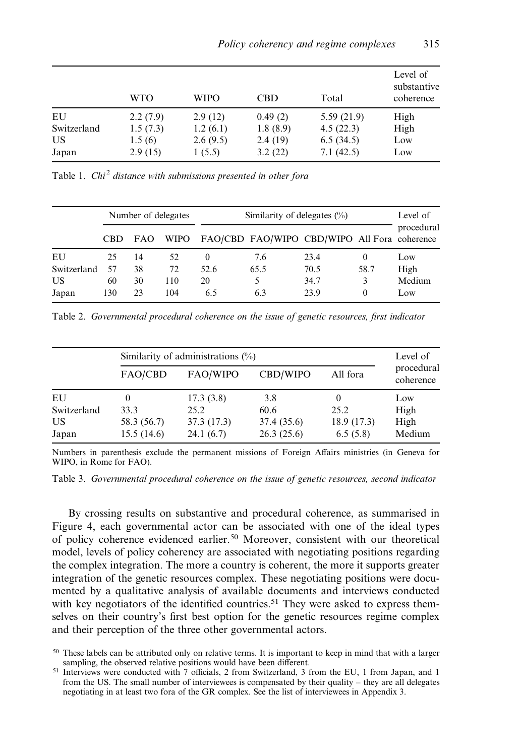|             | <b>WTO</b> | <b>WIPO</b> | <b>CBD</b> | Total      | Level of<br>substantive<br>coherence |
|-------------|------------|-------------|------------|------------|--------------------------------------|
| EU          | 2.2(7.9)   | 2.9(12)     | 0.49(2)    | 5.59(21.9) | High                                 |
| Switzerland | 1.5(7.3)   | 1.2(6.1)    | 1.8(8.9)   | 4.5(22.3)  | High                                 |
| US          | 1.5(6)     | 2.6(9.5)    | 2.4(19)    | 6.5(34.5)  | Low                                  |
| Japan       | 2.9(15)    | 1(5.5)      | 3.2(22)    | 7.1(42.5)  | Low                                  |

Table 1.  $Chi<sup>2</sup> distance with submissions presented in other for a$ 

|             | Number of delegates |            |             | Similarity of delegates $(\% )$ | Level of                                     |      |      |            |
|-------------|---------------------|------------|-------------|---------------------------------|----------------------------------------------|------|------|------------|
|             | <b>CBD</b>          | <b>FAO</b> | <b>WIPO</b> |                                 | FAO/CBD FAO/WIPO CBD/WIPO All Fora coherence |      |      | procedural |
| EU          | 25                  | 14         | 52          | $\theta$                        | 7.6                                          | 23.4 | 0    | Low        |
| Switzerland | 57                  | 38         | 72          | 52.6                            | 65.5                                         | 70.5 | 58.7 | High       |
| US          | 60                  | 30         | 110         | 20                              |                                              | 34.7 | 3    | Medium     |
| Japan       | 130                 | 23         | 104         | 6.5                             | 6.3                                          | 23.9 | 0    | Low        |

Table 2. Governmental procedural coherence on the issue of genetic resources, first indicator

|             | Similarity of administrations $(\%)$ |            | Level of    |            |                         |
|-------------|--------------------------------------|------------|-------------|------------|-------------------------|
|             | FAO/CBD                              | FAO/WIPO   | CBD/WIPO    | All fora   | procedural<br>coherence |
| EU          | $\theta$                             | 17.3(3.8)  | 3.8         |            | Low                     |
| Switzerland | 33.3                                 | 25.2       | 60.6        | 25.2       | High                    |
| US          | 58.3 (56.7)                          | 37.3(17.3) | 37.4 (35.6) | 18.9(17.3) | High                    |
| Japan       | 15.5(14.6)                           | 24.1(6.7)  | 26.3(25.6)  | 6.5(5.8)   | Medium                  |

Numbers in parenthesis exclude the permanent missions of Foreign Affairs ministries (in Geneva for WIPO, in Rome for FAO).

Table 3. Governmental procedural coherence on the issue of genetic resources, second indicator

By crossing results on substantive and procedural coherence, as summarised in Figure 4, each governmental actor can be associated with one of the ideal types of policy coherence evidenced earlier.<sup>50</sup> Moreover, consistent with our theoretical model, levels of policy coherency are associated with negotiating positions regarding the complex integration. The more a country is coherent, the more it supports greater integration of the genetic resources complex. These negotiating positions were documented by a qualitative analysis of available documents and interviews conducted with key negotiators of the identified countries.<sup>51</sup> They were asked to express themselves on their country's first best option for the genetic resources regime complex and their perception of the three other governmental actors.

<sup>&</sup>lt;sup>50</sup> These labels can be attributed only on relative terms. It is important to keep in mind that with a larger sampling, the observed relative positions would have been different.

<sup>&</sup>lt;sup>51</sup> Interviews were conducted with 7 officials, 2 from Switzerland, 3 from the EU, 1 from Japan, and 1 from the US. The small number of interviewees is compensated by their quality – they are all delegates negotiating in at least two fora of the GR complex. See the list of interviewees in Appendix 3.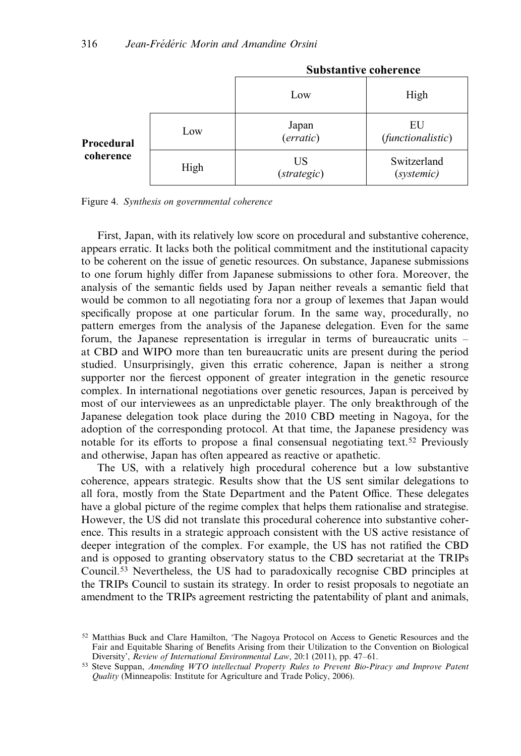|            |      | <b>Substantive coherence</b> |                           |  |  |  |
|------------|------|------------------------------|---------------------------|--|--|--|
|            |      | Low                          | High                      |  |  |  |
| Procedural | Low  | Japan<br>(erratic)           | EU<br>(functionalistic)   |  |  |  |
| coherence  | High | US<br>(strategic)            | Switzerland<br>(systemic) |  |  |  |

Figure 4. Synthesis on governmental coherence

First, Japan, with its relatively low score on procedural and substantive coherence, appears erratic. It lacks both the political commitment and the institutional capacity to be coherent on the issue of genetic resources. On substance, Japanese submissions to one forum highly differ from Japanese submissions to other fora. Moreover, the analysis of the semantic fields used by Japan neither reveals a semantic field that would be common to all negotiating fora nor a group of lexemes that Japan would specifically propose at one particular forum. In the same way, procedurally, no pattern emerges from the analysis of the Japanese delegation. Even for the same forum, the Japanese representation is irregular in terms of bureaucratic units – at CBD and WIPO more than ten bureaucratic units are present during the period studied. Unsurprisingly, given this erratic coherence, Japan is neither a strong supporter nor the fiercest opponent of greater integration in the genetic resource complex. In international negotiations over genetic resources, Japan is perceived by most of our interviewees as an unpredictable player. The only breakthrough of the Japanese delegation took place during the 2010 CBD meeting in Nagoya, for the adoption of the corresponding protocol. At that time, the Japanese presidency was notable for its efforts to propose a final consensual negotiating text.<sup>52</sup> Previously and otherwise, Japan has often appeared as reactive or apathetic.

The US, with a relatively high procedural coherence but a low substantive coherence, appears strategic. Results show that the US sent similar delegations to all fora, mostly from the State Department and the Patent Office. These delegates have a global picture of the regime complex that helps them rationalise and strategise. However, the US did not translate this procedural coherence into substantive coherence. This results in a strategic approach consistent with the US active resistance of deeper integration of the complex. For example, the US has not ratified the CBD and is opposed to granting observatory status to the CBD secretariat at the TRIPs Council.<sup>53</sup> Nevertheless, the US had to paradoxically recognise CBD principles at the TRIPs Council to sustain its strategy. In order to resist proposals to negotiate an amendment to the TRIPs agreement restricting the patentability of plant and animals,

<sup>52</sup> Matthias Buck and Clare Hamilton, 'The Nagoya Protocol on Access to Genetic Resources and the Fair and Equitable Sharing of Benefits Arising from their Utilization to the Convention on Biological Diversity', Review of International Environmental Law, 20:1 (2011), pp. 47–61.

<sup>53</sup> Steve Suppan, Amending WTO intellectual Property Rules to Prevent Bio-Piracy and Improve Patent Quality (Minneapolis: Institute for Agriculture and Trade Policy, 2006).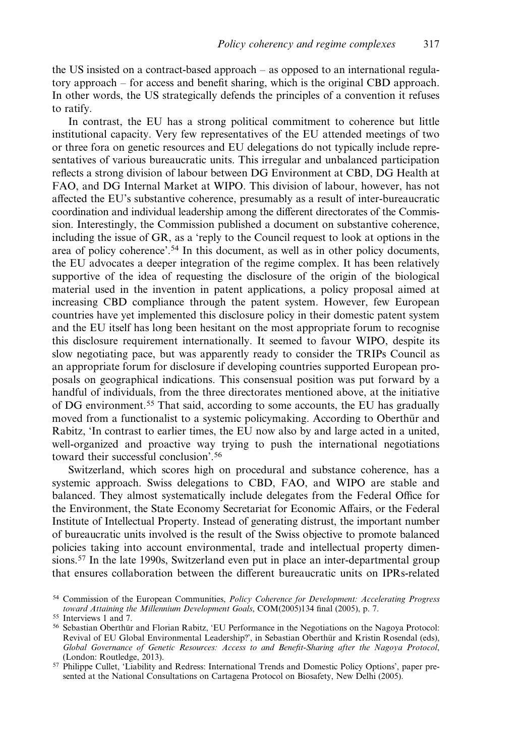the US insisted on a contract-based approach – as opposed to an international regulatory approach – for access and benefit sharing, which is the original CBD approach. In other words, the US strategically defends the principles of a convention it refuses to ratify.

In contrast, the EU has a strong political commitment to coherence but little institutional capacity. Very few representatives of the EU attended meetings of two or three fora on genetic resources and EU delegations do not typically include representatives of various bureaucratic units. This irregular and unbalanced participation reflects a strong division of labour between DG Environment at CBD, DG Health at FAO, and DG Internal Market at WIPO. This division of labour, however, has not affected the EU's substantive coherence, presumably as a result of inter-bureaucratic coordination and individual leadership among the different directorates of the Commission. Interestingly, the Commission published a document on substantive coherence, including the issue of GR, as a 'reply to the Council request to look at options in the area of policy coherence'.<sup>54</sup> In this document, as well as in other policy documents, the EU advocates a deeper integration of the regime complex. It has been relatively supportive of the idea of requesting the disclosure of the origin of the biological material used in the invention in patent applications, a policy proposal aimed at increasing CBD compliance through the patent system. However, few European countries have yet implemented this disclosure policy in their domestic patent system and the EU itself has long been hesitant on the most appropriate forum to recognise this disclosure requirement internationally. It seemed to favour WIPO, despite its slow negotiating pace, but was apparently ready to consider the TRIPs Council as an appropriate forum for disclosure if developing countries supported European proposals on geographical indications. This consensual position was put forward by a handful of individuals, from the three directorates mentioned above, at the initiative of DG environment.<sup>55</sup> That said, according to some accounts, the EU has gradually moved from a functionalist to a systemic policymaking. According to Oberthür and Rabitz, 'In contrast to earlier times, the EU now also by and large acted in a united, well-organized and proactive way trying to push the international negotiations toward their successful conclusion'.<sup>56</sup>

Switzerland, which scores high on procedural and substance coherence, has a systemic approach. Swiss delegations to CBD, FAO, and WIPO are stable and balanced. They almost systematically include delegates from the Federal Office for the Environment, the State Economy Secretariat for Economic Affairs, or the Federal Institute of Intellectual Property. Instead of generating distrust, the important number of bureaucratic units involved is the result of the Swiss objective to promote balanced policies taking into account environmental, trade and intellectual property dimensions.<sup>57</sup> In the late 1990s, Switzerland even put in place an inter-departmental group that ensures collaboration between the different bureaucratic units on IPRs-related

<sup>54</sup> Commission of the European Communities, Policy Coherence for Development: Accelerating Progress toward Attaining the Millennium Development Goals, COM(2005)134 final (2005), p. 7.

<sup>55</sup> Interviews 1 and 7.

<sup>&</sup>lt;sup>56</sup> Sebastian Oberthür and Florian Rabitz, 'EU Performance in the Negotiations on the Nagoya Protocol: Revival of EU Global Environmental Leadership?', in Sebastian Oberthür and Kristin Rosendal (eds), Global Governance of Genetic Resources: Access to and Benefit-Sharing after the Nagoya Protocol, (London: Routledge, 2013).

<sup>57</sup> Philippe Cullet, 'Liability and Redress: International Trends and Domestic Policy Options', paper presented at the National Consultations on Cartagena Protocol on Biosafety, New Delhi (2005).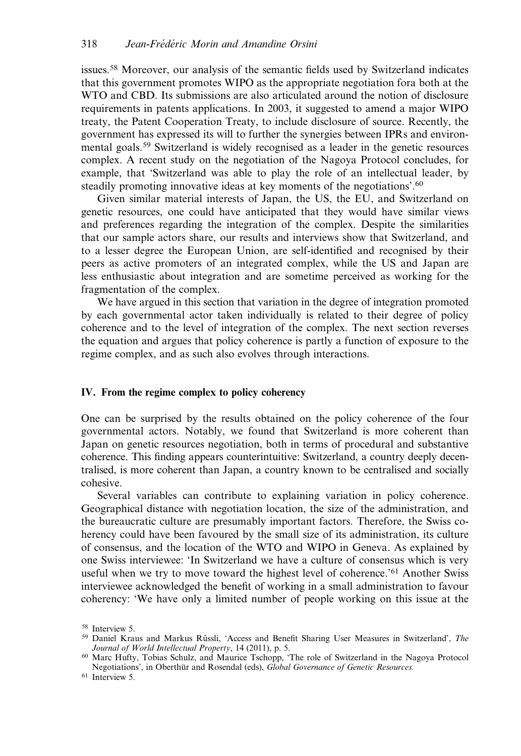issues.<sup>58</sup> Moreover, our analysis of the semantic fields used by Switzerland indicates that this government promotes WIPO as the appropriate negotiation fora both at the WTO and CBD. Its submissions are also articulated around the notion of disclosure requirements in patents applications. In 2003, it suggested to amend a major WIPO treaty, the Patent Cooperation Treaty, to include disclosure of source. Recently, the government has expressed its will to further the synergies between IPRs and environmental goals.<sup>59</sup> Switzerland is widely recognised as a leader in the genetic resources complex. A recent study on the negotiation of the Nagoya Protocol concludes, for example, that 'Switzerland was able to play the role of an intellectual leader, by steadily promoting innovative ideas at key moments of the negotiations'.<sup>60</sup>

Given similar material interests of Japan, the US, the EU, and Switzerland on genetic resources, one could have anticipated that they would have similar views and preferences regarding the integration of the complex. Despite the similarities that our sample actors share, our results and interviews show that Switzerland, and to a lesser degree the European Union, are self-identified and recognised by their peers as active promoters of an integrated complex, while the US and Japan are less enthusiastic about integration and are sometime perceived as working for the fragmentation of the complex.

We have argued in this section that variation in the degree of integration promoted by each governmental actor taken individually is related to their degree of policy coherence and to the level of integration of the complex. The next section reverses the equation and argues that policy coherence is partly a function of exposure to the regime complex, and as such also evolves through interactions.

#### IV. From the regime complex to policy coherency

One can be surprised by the results obtained on the policy coherence of the four governmental actors. Notably, we found that Switzerland is more coherent than Japan on genetic resources negotiation, both in terms of procedural and substantive coherence. This finding appears counterintuitive: Switzerland, a country deeply decentralised, is more coherent than Japan, a country known to be centralised and socially cohesive.

Several variables can contribute to explaining variation in policy coherence. Geographical distance with negotiation location, the size of the administration, and the bureaucratic culture are presumably important factors. Therefore, the Swiss coherency could have been favoured by the small size of its administration, its culture of consensus, and the location of the WTO and WIPO in Geneva. As explained by one Swiss interviewee: 'In Switzerland we have a culture of consensus which is very useful when we try to move toward the highest level of coherence.<sup>'61</sup> Another Swiss interviewee acknowledged the benefit of working in a small administration to favour coherency: 'We have only a limited number of people working on this issue at the

<sup>58</sup> Interview 5.

<sup>&</sup>lt;sup>59</sup> Daniel Kraus and Markus Rûssli, 'Access and Benefit Sharing User Measures in Switzerland', The Journal of World Intellectual Property, 14 (2011), p. 5.

<sup>60</sup> Marc Hufty, Tobias Schulz, and Maurice Tschopp, 'The role of Switzerland in the Nagoya Protocol Negotiations', in Oberthür and Rosendal (eds), Global Governance of Genetic Resources.<br><sup>61</sup> Interview 5.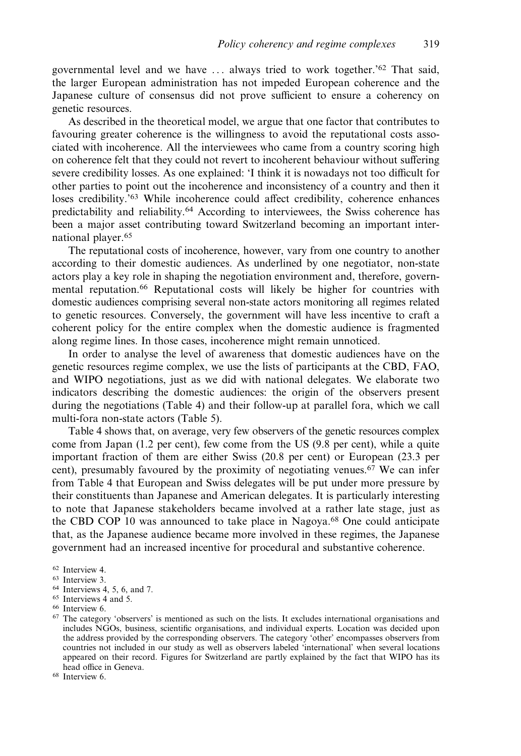governmental level and we have ... always tried to work together.'<sup>62</sup> That said, the larger European administration has not impeded European coherence and the Japanese culture of consensus did not prove sufficient to ensure a coherency on genetic resources.

As described in the theoretical model, we argue that one factor that contributes to favouring greater coherence is the willingness to avoid the reputational costs associated with incoherence. All the interviewees who came from a country scoring high on coherence felt that they could not revert to incoherent behaviour without suffering severe credibility losses. As one explained: 'I think it is nowadays not too difficult for other parties to point out the incoherence and inconsistency of a country and then it loses credibility.'<sup>63</sup> While incoherence could affect credibility, coherence enhances predictability and reliability.<sup>64</sup> According to interviewees, the Swiss coherence has been a major asset contributing toward Switzerland becoming an important international player.<sup>65</sup>

The reputational costs of incoherence, however, vary from one country to another according to their domestic audiences. As underlined by one negotiator, non-state actors play a key role in shaping the negotiation environment and, therefore, governmental reputation.<sup>66</sup> Reputational costs will likely be higher for countries with domestic audiences comprising several non-state actors monitoring all regimes related to genetic resources. Conversely, the government will have less incentive to craft a coherent policy for the entire complex when the domestic audience is fragmented along regime lines. In those cases, incoherence might remain unnoticed.

In order to analyse the level of awareness that domestic audiences have on the genetic resources regime complex, we use the lists of participants at the CBD, FAO, and WIPO negotiations, just as we did with national delegates. We elaborate two indicators describing the domestic audiences: the origin of the observers present during the negotiations (Table 4) and their follow-up at parallel fora, which we call multi-fora non-state actors (Table 5).

Table 4 shows that, on average, very few observers of the genetic resources complex come from Japan (1.2 per cent), few come from the US (9.8 per cent), while a quite important fraction of them are either Swiss (20.8 per cent) or European (23.3 per cent), presumably favoured by the proximity of negotiating venues.<sup>67</sup> We can infer from Table 4 that European and Swiss delegates will be put under more pressure by their constituents than Japanese and American delegates. It is particularly interesting to note that Japanese stakeholders became involved at a rather late stage, just as the CBD COP 10 was announced to take place in Nagoya.<sup>68</sup> One could anticipate that, as the Japanese audience became more involved in these regimes, the Japanese government had an increased incentive for procedural and substantive coherence.

<sup>68</sup> Interview 6.

<sup>62</sup> Interview 4.

<sup>63</sup> Interview 3.

<sup>64</sup> Interviews 4, 5, 6, and 7.

<sup>65</sup> Interviews 4 and 5.

<sup>66</sup> Interview 6.

 $67$  The category 'observers' is mentioned as such on the lists. It excludes international organisations and includes NGOs, business, scientific organisations, and individual experts. Location was decided upon the address provided by the corresponding observers. The category 'other' encompasses observers from countries not included in our study as well as observers labeled 'international' when several locations appeared on their record. Figures for Switzerland are partly explained by the fact that WIPO has its head office in Geneva.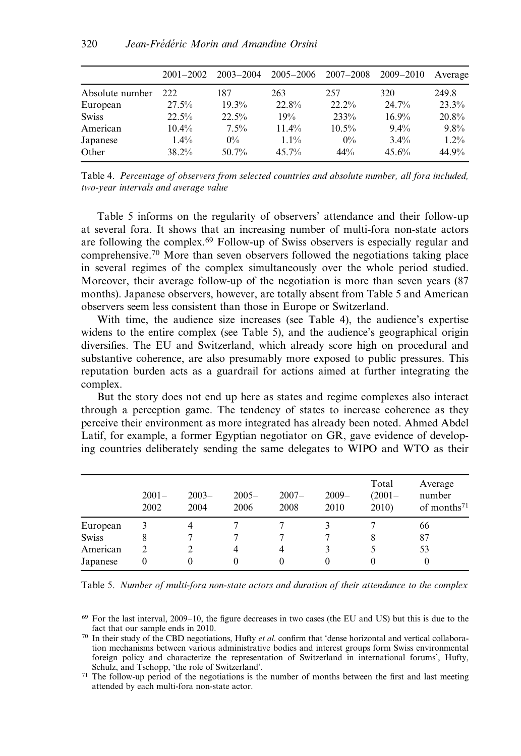|                 | $2001 - 2002$ | 2003-2004 |         | 2005-2006 2007-2008 2009-2010 |          | Average |
|-----------------|---------------|-----------|---------|-------------------------------|----------|---------|
| Absolute number | 222           | 187       | 263     | 257                           | 320      | 249.8   |
| European        | $27.5\%$      | $19.3\%$  | 22.8%   | $22.2\%$                      | 24.7%    | 23.3%   |
| <b>Swiss</b>    | 22.5%         | 22.5%     | 19%     | 233%                          | $16.9\%$ | 20.8%   |
| American        | $10.4\%$      | $7.5\%$   | 11.4%   | $10.5\%$                      | $9.4\%$  | $9.8\%$ |
| Japanese        | $1.4\%$       | $0\%$     | $1.1\%$ | $0\%$                         | $3.4\%$  | $1.2\%$ |
| Other           | $38.2\%$      | $50.7\%$  | 45.7%   | 44%                           | 45.6%    | 44.9%   |

Table 4. Percentage of observers from selected countries and absolute number, all fora included, two-year intervals and average value

Table 5 informs on the regularity of observers' attendance and their follow-up at several fora. It shows that an increasing number of multi-fora non-state actors are following the complex.<sup>69</sup> Follow-up of Swiss observers is especially regular and comprehensive.<sup>70</sup> More than seven observers followed the negotiations taking place in several regimes of the complex simultaneously over the whole period studied. Moreover, their average follow-up of the negotiation is more than seven years (87 months). Japanese observers, however, are totally absent from Table 5 and American observers seem less consistent than those in Europe or Switzerland.

With time, the audience size increases (see Table 4), the audience's expertise widens to the entire complex (see Table 5), and the audience's geographical origin diversifies. The EU and Switzerland, which already score high on procedural and substantive coherence, are also presumably more exposed to public pressures. This reputation burden acts as a guardrail for actions aimed at further integrating the complex.

But the story does not end up here as states and regime complexes also interact through a perception game. The tendency of states to increase coherence as they perceive their environment as more integrated has already been noted. Ahmed Abdel Latif, for example, a former Egyptian negotiator on GR, gave evidence of developing countries deliberately sending the same delegates to WIPO and WTO as their

|              | $2001 -$<br>2002 | $2003-$<br>2004 | $2005 -$<br>2006 | $2007 -$<br>2008 | $2009-$<br>2010 | Total<br>$(2001 -$<br>2010) | Average<br>number<br>of months $71$ |
|--------------|------------------|-----------------|------------------|------------------|-----------------|-----------------------------|-------------------------------------|
| European     |                  |                 |                  |                  |                 |                             | 66                                  |
| <b>Swiss</b> | 8                |                 |                  |                  |                 | 8                           | 87                                  |
| American     |                  |                 |                  | 4                |                 |                             | 53                                  |
| Japanese     | 0                |                 |                  | 0                |                 | 0                           | O                                   |

Table 5. Number of multi-fora non-state actors and duration of their attendance to the complex

 $69$  For the last interval, 2009–10, the figure decreases in two cases (the EU and US) but this is due to the fact that our sample ends in 2010.

<sup>&</sup>lt;sup>70</sup> In their study of the CBD negotiations, Hufty et al. confirm that 'dense horizontal and vertical collaboration mechanisms between various administrative bodies and interest groups form Swiss environmental foreign policy and characterize the representation of Switzerland in international forums', Hufty, Schulz, and Tschopp, 'the role of Switzerland'.

 $71$  The follow-up period of the negotiations is the number of months between the first and last meeting attended by each multi-fora non-state actor.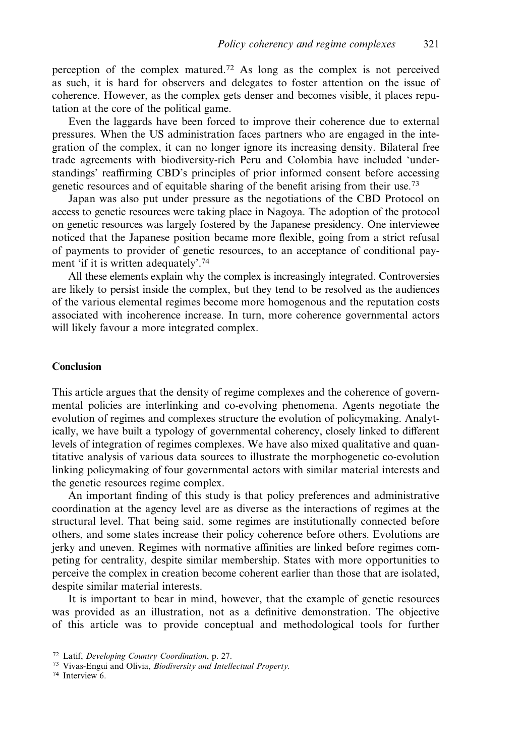perception of the complex matured.<sup>72</sup> As long as the complex is not perceived as such, it is hard for observers and delegates to foster attention on the issue of coherence. However, as the complex gets denser and becomes visible, it places reputation at the core of the political game.

Even the laggards have been forced to improve their coherence due to external pressures. When the US administration faces partners who are engaged in the integration of the complex, it can no longer ignore its increasing density. Bilateral free trade agreements with biodiversity-rich Peru and Colombia have included 'understandings' reaffirming CBD's principles of prior informed consent before accessing genetic resources and of equitable sharing of the benefit arising from their use.<sup>73</sup>

Japan was also put under pressure as the negotiations of the CBD Protocol on access to genetic resources were taking place in Nagoya. The adoption of the protocol on genetic resources was largely fostered by the Japanese presidency. One interviewee noticed that the Japanese position became more flexible, going from a strict refusal of payments to provider of genetic resources, to an acceptance of conditional payment 'if it is written adequately'.<sup>74</sup>

All these elements explain why the complex is increasingly integrated. Controversies are likely to persist inside the complex, but they tend to be resolved as the audiences of the various elemental regimes become more homogenous and the reputation costs associated with incoherence increase. In turn, more coherence governmental actors will likely favour a more integrated complex.

### Conclusion

This article argues that the density of regime complexes and the coherence of governmental policies are interlinking and co-evolving phenomena. Agents negotiate the evolution of regimes and complexes structure the evolution of policymaking. Analytically, we have built a typology of governmental coherency, closely linked to different levels of integration of regimes complexes. We have also mixed qualitative and quantitative analysis of various data sources to illustrate the morphogenetic co-evolution linking policymaking of four governmental actors with similar material interests and the genetic resources regime complex.

An important finding of this study is that policy preferences and administrative coordination at the agency level are as diverse as the interactions of regimes at the structural level. That being said, some regimes are institutionally connected before others, and some states increase their policy coherence before others. Evolutions are jerky and uneven. Regimes with normative affinities are linked before regimes competing for centrality, despite similar membership. States with more opportunities to perceive the complex in creation become coherent earlier than those that are isolated, despite similar material interests.

It is important to bear in mind, however, that the example of genetic resources was provided as an illustration, not as a definitive demonstration. The objective of this article was to provide conceptual and methodological tools for further

<sup>72</sup> Latif, Developing Country Coordination, p. 27.

<sup>73</sup> Vivas-Engui and Olivia, Biodiversity and Intellectual Property.

<sup>74</sup> Interview 6.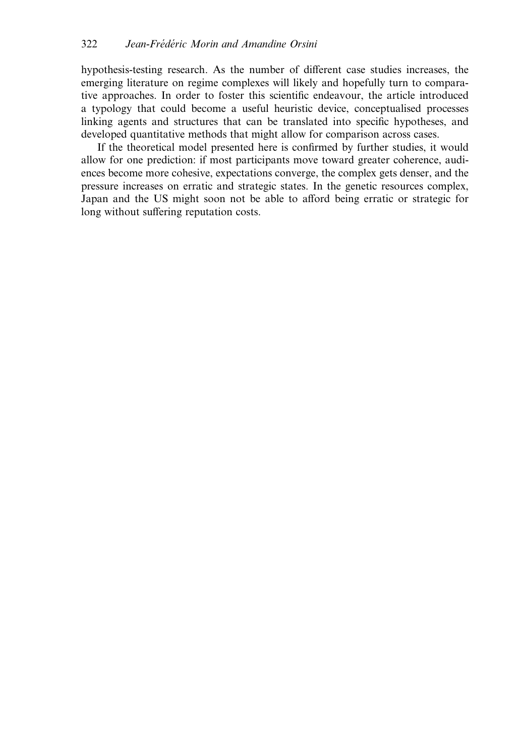hypothesis-testing research. As the number of different case studies increases, the emerging literature on regime complexes will likely and hopefully turn to comparative approaches. In order to foster this scientific endeavour, the article introduced a typology that could become a useful heuristic device, conceptualised processes linking agents and structures that can be translated into specific hypotheses, and developed quantitative methods that might allow for comparison across cases.

If the theoretical model presented here is confirmed by further studies, it would allow for one prediction: if most participants move toward greater coherence, audiences become more cohesive, expectations converge, the complex gets denser, and the pressure increases on erratic and strategic states. In the genetic resources complex, Japan and the US might soon not be able to afford being erratic or strategic for long without suffering reputation costs.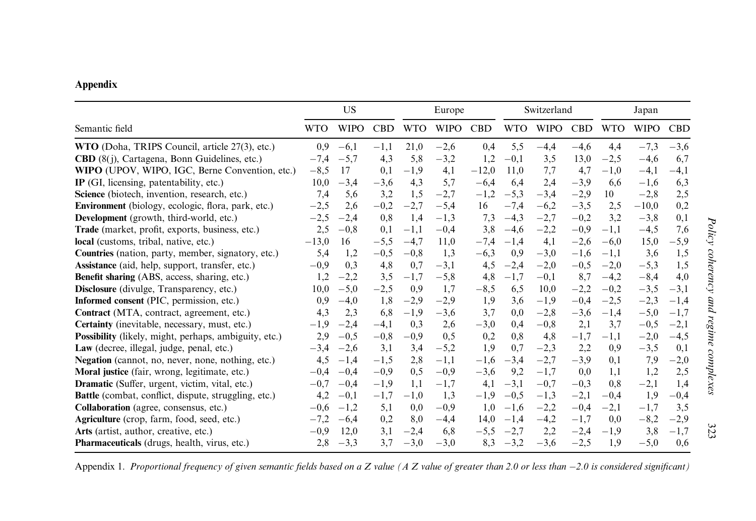# Appendix

|                                                           |            | <b>US</b>   |            |            | Europe      |            |            | Switzerland |            |            | Japan       |            |
|-----------------------------------------------------------|------------|-------------|------------|------------|-------------|------------|------------|-------------|------------|------------|-------------|------------|
| Semantic field                                            | <b>WTO</b> | <b>WIPO</b> | <b>CBD</b> | <b>WTO</b> | <b>WIPO</b> | <b>CBD</b> | <b>WTO</b> | <b>WIPO</b> | <b>CBD</b> | <b>WTO</b> | <b>WIPO</b> | <b>CBD</b> |
| WTO (Doha, TRIPS Council, article 27(3), etc.)            | 0.9        | $-6,1$      | $-1,1$     | 21,0       | $-2,6$      | 0,4        | 5,5        | $-4,4$      | $-4,6$     | 4,4        | $-7,3$      | $-3,6$     |
| <b>CBD</b> (8(j), Cartagena, Bonn Guidelines, etc.)       | $-7,4$     | $-5.7$      | 4,3        | 5,8        | $-3,2$      | 1,2        | $-0.1$     | 3,5         | 13,0       | $-2,5$     | $-4,6$      | 6,7        |
| WIPO (UPOV, WIPO, IGC, Berne Convention, etc.)            | $-8,5$     | 17          | 0,1        | $-1.9$     | 4,1         | $-12,0$    | 11,0       | 7.7         | 4,7        | $-1,0$     | $-4,1$      | $-4,1$     |
| <b>IP</b> (GI, licensing, patentability, etc.)            | 10,0       | $-3,4$      | $-3,6$     | 4,3        | 5.7         | $-6,4$     | 6,4        | 2,4         | $-3.9$     | 6,6        | $-1,6$      | 6,3        |
| Science (biotech, invention, research, etc.)              | 7.4        | 5,6         | 3,2        | 1.5        | $-2,7$      | $-1.2$     | $-5,3$     | $-3.4$      | $-2,9$     | 10         | $-2,8$      | 2.5        |
| <b>Environment</b> (biology, ecologic, flora, park, etc.) | $-2.5$     | 2.6         | $-0.2$     | $-2,7$     | $-5.4$      | 16         | $-7.4$     | $-6.2$      | $-3,5$     | 2.5        | $-10.0$     | 0,2        |
| Development (growth, third-world, etc.)                   | $-2,5$     | $-2.4$      | 0.8        | 1.4        | $-1.3$      | 7.3        | $-4.3$     | $-2.7$      | $-0.2$     | 3,2        | $-3.8$      | 0.1        |
| Trade (market, profit, exports, business, etc.)           | 2,5        | $-0.8$      | 0,1        | $-1,1$     | $-0.4$      | 3,8        | $-4,6$     | $-2,2$      | $-0,9$     | $-1,1$     | $-4,5$      | 7,6        |
| local (customs, tribal, native, etc.)                     | $-13.0$    | 16          | $-5,5$     | $-4.7$     | 11.0        | $-7,4$     | $-1.4$     | 4,1         | $-2,6$     | $-6.0$     | 15,0        | $-5.9$     |
| <b>Countries</b> (nation, party, member, signatory, etc.) | 5.4        | 1,2         | $-0.5$     | $-0.8$     | 1.3         | $-6.3$     | 0,9        | $-3.0$      | $-1.6$     | $-1.1$     | 3,6         | 1.5        |
| Assistance (aid, help, support, transfer, etc.)           | $-0.9$     | 0.3         | 4,8        | 0.7        | $-3,1$      | 4.5        | $-2,4$     | $-2,0$      | $-0.5$     | $-2,0$     | $-5.3$      | 1,5        |
| Benefit sharing (ABS, access, sharing, etc.)              | 1,2        | $-2,2$      | 3,5        | $-1,7$     | $-5,8$      | 4,8        | $-1,7$     | $-0.1$      | 8,7        | $-4,2$     | $-8,4$      | 4,0        |
| <b>Disclosure</b> (divulge, Transparency, etc.)           | 10,0       | $-5,0$      | $-2,5$     | 0.9        | 1.7         | $-8,5$     | 6.5        | 10.0        | $-2,2$     | $-0.2$     | $-3.5$      | $-3,1$     |
| Informed consent (PIC, permission, etc.)                  | 0.9        | $-4.0$      | 1,8        | $-2,9$     | $-2,9$      | 1,9        | 3,6        | $-1,9$      | $-0.4$     | $-2,5$     | $-2,3$      | $-1,4$     |
| Contract (MTA, contract, agreement, etc.)                 | 4,3        | 2.3         | 6,8        | $-1.9$     | $-3,6$      | 3.7        | 0.0        | $-2,8$      | $-3,6$     | $-1,4$     | $-5,0$      | $-1,7$     |
| Certainty (inevitable, necessary, must, etc.)             | $-1,9$     | $-2,4$      | $-4,1$     | 0.3        | 2,6         | $-3.0$     | 0,4        | $-0.8$      | 2,1        | 3.7        | $-0,5$      | $-2,1$     |
| Possibility (likely, might, perhaps, ambiguity, etc.)     | 2.9        | $-0.5$      | $-0.8$     | $-0.9$     | 0.5         | 0,2        | 0.8        | 4,8         | $-1,7$     | $-1,1$     | $-2,0$      | $-4,5$     |
| Law (decree, illegal, judge, penal, etc.)                 | $-3.4$     | $-2,6$      | 3,1        | 3,4        | $-5.2$      | 1,9        | 0,7        | $-2,3$      | 2,2        | 0.9        | $-3,5$      | 0.1        |
| <b>Negation</b> (cannot, no, never, none, nothing, etc.)  | 4,5        | $-1,4$      | $-1,5$     | 2,8        | $-1,1$      | $-1,6$     | $-3,4$     | $-2,7$      | $-3.9$     | 0,1        | 7,9         | $-2,0$     |
| Moral justice (fair, wrong, legitimate, etc.)             | $-0.4$     | $-0.4$      | $-0.9$     | 0.5        | $-0.9$      | $-3,6$     | 9,2        | $-1,7$      | 0.0        | 1,1        | 1,2         | 2,5        |
| <b>Dramatic</b> (Suffer, urgent, victim, vital, etc.)     | $-0.7$     | $-0.4$      | $-1,9$     | 1.1        | $-1,7$      | 4,1        | $-3,1$     | $-0.7$      | $-0.3$     | 0.8        | $-2,1$      | 1,4        |
| Battle (combat, conflict, dispute, struggling, etc.)      | 4,2        | $-0,1$      | $-1,7$     | $-1,0$     | 1,3         | $-1.9$     | $-0.5$     | $-1.3$      | $-2,1$     | $-0.4$     | 1,9         | $-0.4$     |
| Collaboration (agree, consensus, etc.)                    | $-0.6$     | $-1,2$      | 5,1        | 0.0        | $-0.9$      | 1,0        | $-1,6$     | $-2,2$      | $-0.4$     | $-2,1$     | $-1,7$      | 3.5        |
| Agriculture (crop, farm, food, seed, etc.)                | $-7,2$     | $-6,4$      | 0,2        | 8.0        | $-4,4$      | 14,0       | $-1,4$     | $-4,2$      | $-1,7$     | 0,0        | $-8,2$      | $-2.9$     |
| Arts (artist, author, creative, etc.)                     | $-0.9$     | 12,0        | 3,1        | $-2.4$     | 6.8         | $-5.5$     | $-2,7$     | 2,2         | $-2,4$     | $-1,9$     | 3,8         | $-1,7$     |
| Pharmaceuticals (drugs, health, virus, etc.)              | 2,8        | $-3,3$      | 3.7        | $-3,0$     | $-3.0$      | 8,3        | $-3,2$     | $-3,6$      | $-2,5$     | 1,9        | $-5,0$      | 0.6        |

Appendix 1. Proportional frequency of given semantic fields based on a Z value (A Z value of greater than 2.0 or less than  $-2.0$  is considered significant,